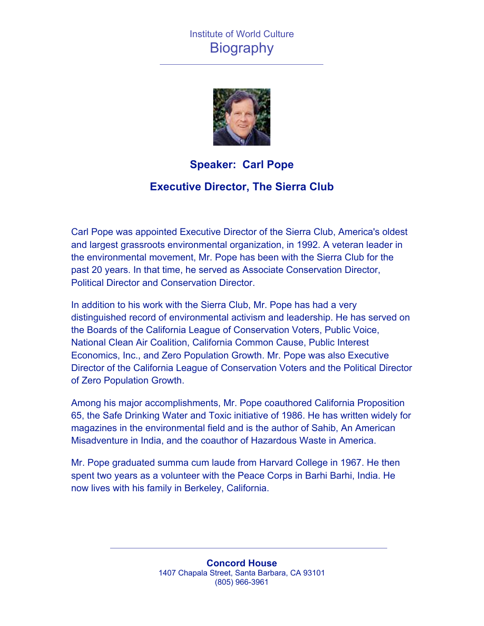# Institute of World Culture **Biography**



### **Speaker: Carl Pope**

### **Executive Director, The Sierra Club**

Carl Pope was appointed Executive Director of the Sierra Club, America's oldest and largest grassroots environmental organization, in 1992. A veteran leader in the environmental movement, Mr. Pope has been with the Sierra Club for the past 20 years. In that time, he served as Associate Conservation Director, Political Director and Conservation Director.

In addition to his work with the Sierra Club, Mr. Pope has had a very distinguished record of environmental activism and leadership. He has served on the Boards of the California League of Conservation Voters, Public Voice, National Clean Air Coalition, California Common Cause, Public Interest Economics, Inc., and Zero Population Growth. Mr. Pope was also Executive Director of the California League of Conservation Voters and the Political Director of Zero Population Growth.

Among his major accomplishments, Mr. Pope coauthored California Proposition 65, the Safe Drinking Water and Toxic initiative of 1986. He has written widely for magazines in the environmental field and is the author of Sahib, An American Misadventure in India, and the coauthor of Hazardous Waste in America.

Mr. Pope graduated summa cum laude from Harvard College in 1967. He then spent two years as a volunteer with the Peace Corps in Barhi Barhi, India. He now lives with his family in Berkeley, California.

> **Concord House** 1407 Chapala Street, Santa Barbara, CA 93101 (805) 966-3961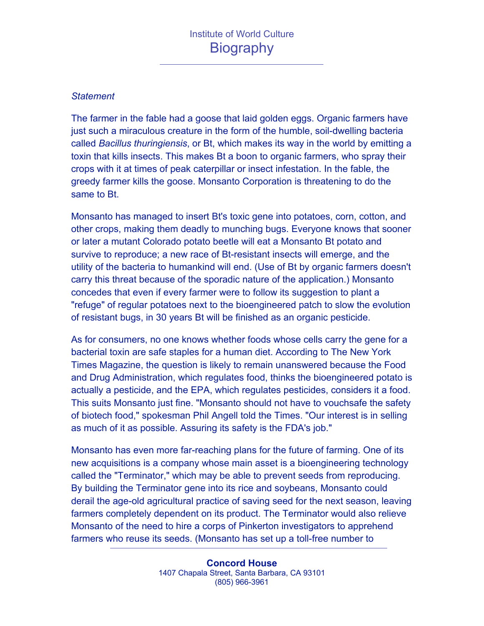#### *Statement*

The farmer in the fable had a goose that laid golden eggs. Organic farmers have just such a miraculous creature in the form of the humble, soil-dwelling bacteria called *Bacillus thuringiensis*, or Bt, which makes its way in the world by emitting a toxin that kills insects. This makes Bt a boon to organic farmers, who spray their crops with it at times of peak caterpillar or insect infestation. In the fable, the greedy farmer kills the goose. Monsanto Corporation is threatening to do the same to Bt.

Monsanto has managed to insert Bt's toxic gene into potatoes, corn, cotton, and other crops, making them deadly to munching bugs. Everyone knows that sooner or later a mutant Colorado potato beetle will eat a Monsanto Bt potato and survive to reproduce; a new race of Bt-resistant insects will emerge, and the utility of the bacteria to humankind will end. (Use of Bt by organic farmers doesn't carry this threat because of the sporadic nature of the application.) Monsanto concedes that even if every farmer were to follow its suggestion to plant a "refuge" of regular potatoes next to the bioengineered patch to slow the evolution of resistant bugs, in 30 years Bt will be finished as an organic pesticide.

As for consumers, no one knows whether foods whose cells carry the gene for a bacterial toxin are safe staples for a human diet. According to The New York Times Magazine, the question is likely to remain unanswered because the Food and Drug Administration, which regulates food, thinks the bioengineered potato is actually a pesticide, and the EPA, which regulates pesticides, considers it a food. This suits Monsanto just fine. "Monsanto should not have to vouchsafe the safety of biotech food," spokesman Phil Angell told the Times. "Our interest is in selling as much of it as possible. Assuring its safety is the FDA's job."

Monsanto has even more far-reaching plans for the future of farming. One of its new acquisitions is a company whose main asset is a bioengineering technology called the "Terminator," which may be able to prevent seeds from reproducing. By building the Terminator gene into its rice and soybeans, Monsanto could derail the age-old agricultural practice of saving seed for the next season, leaving farmers completely dependent on its product. The Terminator would also relieve Monsanto of the need to hire a corps of Pinkerton investigators to apprehend farmers who reuse its seeds. (Monsanto has set up a toll-free number to

> **Concord House** 1407 Chapala Street, Santa Barbara, CA 93101 (805) 966-3961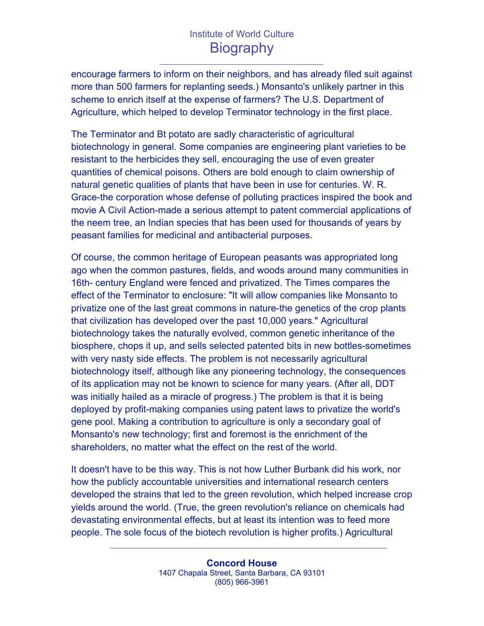# Institute of World Culture **Biography**

encourage farmers to inform on their neighbors, and has already filed suit against more than 500 farmers for replanting seeds.) Monsanto's unlikely partner in this scheme to enrich itself at the expense of farmers? The U.S. Department of Agriculture, which helped to develop Terminator technology in the first place.

The Terminator and Bt potato are sadly characteristic of agricultural biotechnology in general. Some companies are engineering plant varieties to be resistant to the herbicides they sell, encouraging the use of even greater quantities of chemical poisons. Others are bold enough to claim ownership of natural genetic qualities of plants that have been in use for centuries. W. R. Grace-the corporation whose defense of polluting practices inspired the book and movie A Civil Action-made a serious attempt to patent commercial applications of the neem tree, an Indian species that has been used for thousands of years by peasant families for medicinal and antibacterial purposes.

Of course, the common heritage of European peasants was appropriated long ago when the common pastures, fields, and woods around many communities in 16th- century England were fenced and privatized. The Times compares the effect of the Terminator to enclosure: "It will allow companies like Monsanto to privatize one of the last great commons in nature-the genetics of the crop plants that civilization has developed over the past 10,000 years." Agricultural biotechnology takes the naturally evolved, common genetic inheritance of the biosphere, chops it up, and sells selected patented bits in new bottles-sometimes with very nasty side effects. The problem is not necessarily agricultural biotechnology itself, although like any pioneering technology, the consequences of its application may not be known to science for many years. (After all, DDT was initially hailed as a miracle of progress.) The problem is that it is being deployed by profit-making companies using patent laws to privatize the world's gene pool. Making a contribution to agriculture is only a secondary goal of Monsanto's new technology; first and foremost is the enrichment of the shareholders, no matter what the effect on the rest of the world.

It doesn't have to be this way. This is not how Luther Burbank did his work, nor how the publicly accountable universities and international research centers developed the strains that led to the green revolution, which helped increase crop yields around the world. (True, the green revolution's reliance on chemicals had devastating environmental effects, but at least its intention was to feed more people. The sole focus of the biotech revolution is higher profits.) Agricultural

> **Concord House** 1407 Chapala Street, Santa Barbara, CA 93101 (805) 966-3961